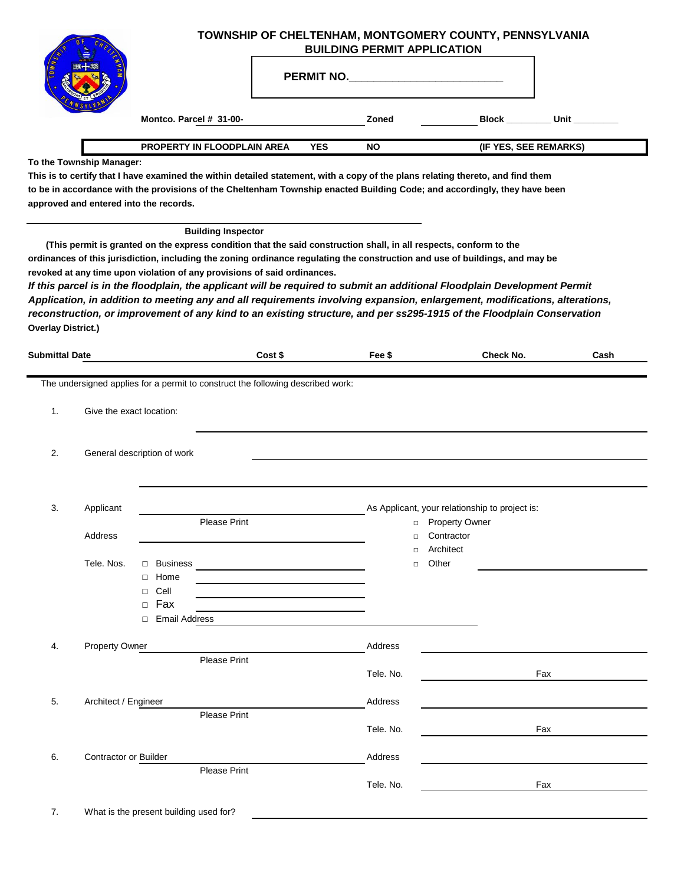|                           |                                    |                                                                                                                                                                                                                             |            | TOWNSHIP OF CHELTENHAM, MONTGOMERY COUNTY, PENNSYLVANIA<br><b>BUILDING PERMIT APPLICATION</b>                                                                                                                                       |                                                                                                                                                                                                                                                                                                                                                                                                                                                                                                                   |      |
|---------------------------|------------------------------------|-----------------------------------------------------------------------------------------------------------------------------------------------------------------------------------------------------------------------------|------------|-------------------------------------------------------------------------------------------------------------------------------------------------------------------------------------------------------------------------------------|-------------------------------------------------------------------------------------------------------------------------------------------------------------------------------------------------------------------------------------------------------------------------------------------------------------------------------------------------------------------------------------------------------------------------------------------------------------------------------------------------------------------|------|
|                           |                                    |                                                                                                                                                                                                                             |            | <b>PERMIT NO.</b> THE RESERVE TO A RESERVE THE RESERVE TO A RESERVE THE RESERVE THAT A RESERVE THE RESERVE THAT A RESERVE THAT A RESERVE THAT A RESERVE THAT A RESERVE THAT A RESERVE THAT A RESERVE THAT A RESERVE THAT A REPORT O |                                                                                                                                                                                                                                                                                                                                                                                                                                                                                                                   |      |
|                           |                                    | Montco. Parcel # 31-00-                                                                                                                                                                                                     |            | Zoned                                                                                                                                                                                                                               | Block Unit                                                                                                                                                                                                                                                                                                                                                                                                                                                                                                        |      |
|                           |                                    | PROPERTY IN FLOODPLAIN AREA                                                                                                                                                                                                 | <b>YES</b> | <b>NO</b>                                                                                                                                                                                                                           | (IF YES, SEE REMARKS)                                                                                                                                                                                                                                                                                                                                                                                                                                                                                             |      |
|                           | To the Township Manager:           | approved and entered into the records.                                                                                                                                                                                      |            |                                                                                                                                                                                                                                     | This is to certify that I have examined the within detailed statement, with a copy of the plans relating thereto, and find them<br>to be in accordance with the provisions of the Cheltenham Township enacted Building Code; and accordingly, they have been                                                                                                                                                                                                                                                      |      |
| <b>Overlay District.)</b> |                                    | <b>Building Inspector</b><br>(This permit is granted on the express condition that the said construction shall, in all respects, conform to the<br>revoked at any time upon violation of any provisions of said ordinances. |            |                                                                                                                                                                                                                                     | ordinances of this jurisdiction, including the zoning ordinance regulating the construction and use of buildings, and may be<br>If this parcel is in the floodplain, the applicant will be required to submit an additional Floodplain Development Permit<br>Application, in addition to meeting any and all requirements involving expansion, enlargement, modifications, alterations,<br>reconstruction, or improvement of any kind to an existing structure, and per ss295-1915 of the Floodplain Conservation |      |
| <b>Submittal Date</b>     |                                    |                                                                                                                                                                                                                             | Cost \$    | Fee \$                                                                                                                                                                                                                              | Check No.                                                                                                                                                                                                                                                                                                                                                                                                                                                                                                         | Cash |
| 1.<br>2.                  | Give the exact location:           | General description of work                                                                                                                                                                                                 |            |                                                                                                                                                                                                                                     |                                                                                                                                                                                                                                                                                                                                                                                                                                                                                                                   |      |
| 3.                        | Applicant<br>Address<br>Tele. Nos. | <b>Please Print</b><br>$\Box$ Business<br>□ Home                                                                                                                                                                            |            | $\Box$<br>$\Box$<br>$\Box$                                                                                                                                                                                                          | As Applicant, your relationship to project is:<br>□ Property Owner<br>Contractor<br>Architect<br>Other                                                                                                                                                                                                                                                                                                                                                                                                            |      |
|                           |                                    | $\Box$ Cell<br>$\Box$ Fax<br>□ Email Address                                                                                                                                                                                |            |                                                                                                                                                                                                                                     |                                                                                                                                                                                                                                                                                                                                                                                                                                                                                                                   |      |
| 4.                        | <b>Property Owner</b>              | <b>Please Print</b>                                                                                                                                                                                                         |            | Address<br>Tele. No.                                                                                                                                                                                                                | Fax                                                                                                                                                                                                                                                                                                                                                                                                                                                                                                               |      |
| 5.                        | Architect / Engineer               |                                                                                                                                                                                                                             |            | Address                                                                                                                                                                                                                             |                                                                                                                                                                                                                                                                                                                                                                                                                                                                                                                   |      |
|                           |                                    | Please Print                                                                                                                                                                                                                |            | Tele. No.                                                                                                                                                                                                                           | Fax                                                                                                                                                                                                                                                                                                                                                                                                                                                                                                               |      |
| 6.                        | Contractor or Builder              | Please Print                                                                                                                                                                                                                |            | Address                                                                                                                                                                                                                             |                                                                                                                                                                                                                                                                                                                                                                                                                                                                                                                   |      |
|                           |                                    |                                                                                                                                                                                                                             |            | Tele. No.                                                                                                                                                                                                                           | Fax                                                                                                                                                                                                                                                                                                                                                                                                                                                                                                               |      |
| 7.                        |                                    | What is the present building used for?                                                                                                                                                                                      |            |                                                                                                                                                                                                                                     |                                                                                                                                                                                                                                                                                                                                                                                                                                                                                                                   |      |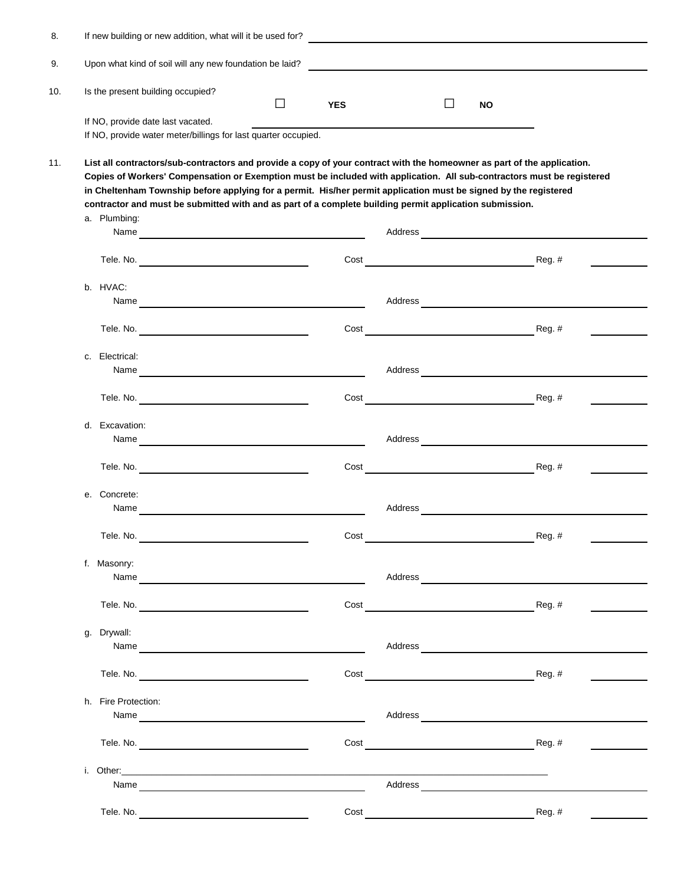|    | If new building or new addition, what will it be used for?                                                                                                                                                                                                                                                                                                                                                                                                                       |        |            |                                                                                                                      |           |          |
|----|----------------------------------------------------------------------------------------------------------------------------------------------------------------------------------------------------------------------------------------------------------------------------------------------------------------------------------------------------------------------------------------------------------------------------------------------------------------------------------|--------|------------|----------------------------------------------------------------------------------------------------------------------|-----------|----------|
|    | Upon what kind of soil will any new foundation be laid?                                                                                                                                                                                                                                                                                                                                                                                                                          |        |            | <u> 1980 - Johann Stein, marwolaethau a bhann an t-Amhair ann an t-Amhair an t-Amhair an t-Amhair an t-Amhair an</u> |           |          |
|    | Is the present building occupied?                                                                                                                                                                                                                                                                                                                                                                                                                                                | $\Box$ | <b>YES</b> | $\Box$                                                                                                               | <b>NO</b> |          |
|    | If NO, provide date last vacated.<br>If NO, provide water meter/billings for last quarter occupied.                                                                                                                                                                                                                                                                                                                                                                              |        |            |                                                                                                                      |           |          |
|    | List all contractors/sub-contractors and provide a copy of your contract with the homeowner as part of the application.<br>Copies of Workers' Compensation or Exemption must be included with application. All sub-contractors must be registered<br>in Cheltenham Township before applying for a permit. His/her permit application must be signed by the registered<br>contractor and must be submitted with and as part of a complete building permit application submission. |        |            |                                                                                                                      |           |          |
|    | a. Plumbing:                                                                                                                                                                                                                                                                                                                                                                                                                                                                     |        |            |                                                                                                                      |           |          |
|    |                                                                                                                                                                                                                                                                                                                                                                                                                                                                                  |        | Cost       |                                                                                                                      |           | Reg. #   |
|    | b. HVAC:                                                                                                                                                                                                                                                                                                                                                                                                                                                                         |        |            | Address                                                                                                              |           |          |
|    |                                                                                                                                                                                                                                                                                                                                                                                                                                                                                  |        | Cost       |                                                                                                                      | Reg. #    |          |
|    | c. Electrical:<br>Name and the contract of the contract of the contract of the contract of the contract of the contract of the contract of the contract of the contract of the contract of the contract of the contract of the contract of the c                                                                                                                                                                                                                                 |        |            | Address and the contract of the contract of the contract of the contract of the contract of the contract of the      |           |          |
|    |                                                                                                                                                                                                                                                                                                                                                                                                                                                                                  |        | Cost       |                                                                                                                      |           | Reg. #   |
| d. | Excavation:                                                                                                                                                                                                                                                                                                                                                                                                                                                                      |        |            | Address                                                                                                              |           |          |
|    |                                                                                                                                                                                                                                                                                                                                                                                                                                                                                  |        | Cost       |                                                                                                                      |           | $Reg.$ # |
|    | e. Concrete:<br>Name                                                                                                                                                                                                                                                                                                                                                                                                                                                             |        |            | Address                                                                                                              |           |          |
|    | Tele. No.                                                                                                                                                                                                                                                                                                                                                                                                                                                                        |        | Cost       |                                                                                                                      |           | Reg. #   |
|    | f. Masonry:                                                                                                                                                                                                                                                                                                                                                                                                                                                                      |        |            |                                                                                                                      |           |          |
|    |                                                                                                                                                                                                                                                                                                                                                                                                                                                                                  |        | Cost       |                                                                                                                      |           | Reg. #   |
| g. | Drywall:                                                                                                                                                                                                                                                                                                                                                                                                                                                                         |        |            |                                                                                                                      |           |          |
|    |                                                                                                                                                                                                                                                                                                                                                                                                                                                                                  |        | Cost       |                                                                                                                      |           | $Reg.$ # |
|    | h. Fire Protection:                                                                                                                                                                                                                                                                                                                                                                                                                                                              |        |            |                                                                                                                      |           |          |
|    |                                                                                                                                                                                                                                                                                                                                                                                                                                                                                  |        | Cost       | <u> 1980 - Johann Barbara, martxa alemaniar a</u>                                                                    |           | $Reg.$ # |
|    |                                                                                                                                                                                                                                                                                                                                                                                                                                                                                  |        |            |                                                                                                                      |           |          |
|    |                                                                                                                                                                                                                                                                                                                                                                                                                                                                                  |        |            |                                                                                                                      |           | $Reg.$ # |